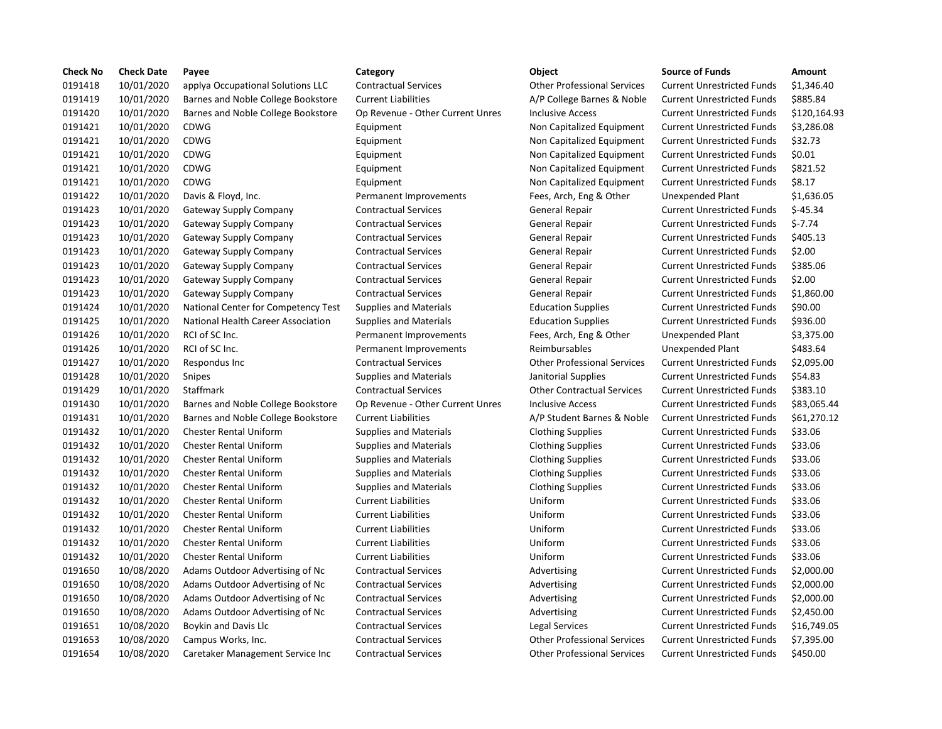| <b>Check No</b> | <b>Check Date</b> | Payee                               | Category                         | Object                             | <b>Source of Funds</b>            | Amount       |
|-----------------|-------------------|-------------------------------------|----------------------------------|------------------------------------|-----------------------------------|--------------|
| 0191418         | 10/01/2020        | applya Occupational Solutions LLC   | <b>Contractual Services</b>      | <b>Other Professional Services</b> | <b>Current Unrestricted Funds</b> | \$1,346.40   |
| 0191419         | 10/01/2020        | Barnes and Noble College Bookstore  | <b>Current Liabilities</b>       | A/P College Barnes & Noble         | <b>Current Unrestricted Funds</b> | \$885.84     |
| 0191420         | 10/01/2020        | Barnes and Noble College Bookstore  | Op Revenue - Other Current Unres | <b>Inclusive Access</b>            | <b>Current Unrestricted Funds</b> | \$120,164.93 |
| 0191421         | 10/01/2020        | CDWG                                | Equipment                        | Non Capitalized Equipment          | <b>Current Unrestricted Funds</b> | \$3,286.08   |
| 0191421         | 10/01/2020        | CDWG                                | Equipment                        | Non Capitalized Equipment          | <b>Current Unrestricted Funds</b> | \$32.73      |
| 0191421         | 10/01/2020        | <b>CDWG</b>                         | Equipment                        | Non Capitalized Equipment          | <b>Current Unrestricted Funds</b> | \$0.01       |
| 0191421         | 10/01/2020        | <b>CDWG</b>                         | Equipment                        | Non Capitalized Equipment          | <b>Current Unrestricted Funds</b> | \$821.52     |
| 0191421         | 10/01/2020        | <b>CDWG</b>                         | Equipment                        | Non Capitalized Equipment          | <b>Current Unrestricted Funds</b> | \$8.17       |
| 0191422         | 10/01/2020        | Davis & Floyd, Inc.                 | Permanent Improvements           | Fees, Arch, Eng & Other            | Unexpended Plant                  | \$1,636.05   |
| 0191423         | 10/01/2020        | Gateway Supply Company              | <b>Contractual Services</b>      | <b>General Repair</b>              | <b>Current Unrestricted Funds</b> | $$-45.34$    |
| 0191423         | 10/01/2020        | Gateway Supply Company              | <b>Contractual Services</b>      | General Repair                     | <b>Current Unrestricted Funds</b> | $$-7.74$     |
| 0191423         | 10/01/2020        | <b>Gateway Supply Company</b>       | <b>Contractual Services</b>      | General Repair                     | <b>Current Unrestricted Funds</b> | \$405.13     |
| 0191423         | 10/01/2020        | Gateway Supply Company              | <b>Contractual Services</b>      | <b>General Repair</b>              | <b>Current Unrestricted Funds</b> | \$2.00       |
| 0191423         | 10/01/2020        | Gateway Supply Company              | <b>Contractual Services</b>      | General Repair                     | <b>Current Unrestricted Funds</b> | \$385.06     |
| 0191423         | 10/01/2020        | <b>Gateway Supply Company</b>       | <b>Contractual Services</b>      | General Repair                     | <b>Current Unrestricted Funds</b> | \$2.00       |
| 0191423         | 10/01/2020        | <b>Gateway Supply Company</b>       | <b>Contractual Services</b>      | General Repair                     | <b>Current Unrestricted Funds</b> | \$1,860.00   |
| 0191424         | 10/01/2020        | National Center for Competency Test | <b>Supplies and Materials</b>    | <b>Education Supplies</b>          | <b>Current Unrestricted Funds</b> | \$90.00      |
| 0191425         | 10/01/2020        | National Health Career Association  | <b>Supplies and Materials</b>    | <b>Education Supplies</b>          | <b>Current Unrestricted Funds</b> | \$936.00     |
| 0191426         | 10/01/2020        | RCI of SC Inc.                      | Permanent Improvements           | Fees, Arch, Eng & Other            | <b>Unexpended Plant</b>           | \$3,375.00   |
| 0191426         | 10/01/2020        | RCI of SC Inc.                      | Permanent Improvements           | Reimbursables                      | <b>Unexpended Plant</b>           | \$483.64     |
| 0191427         | 10/01/2020        | Respondus Inc                       | <b>Contractual Services</b>      | <b>Other Professional Services</b> | <b>Current Unrestricted Funds</b> | \$2,095.00   |
| 0191428         | 10/01/2020        | Snipes                              | <b>Supplies and Materials</b>    | Janitorial Supplies                | <b>Current Unrestricted Funds</b> | \$54.83      |
| 0191429         | 10/01/2020        | Staffmark                           | <b>Contractual Services</b>      | <b>Other Contractual Services</b>  | <b>Current Unrestricted Funds</b> | \$383.10     |
| 0191430         | 10/01/2020        | Barnes and Noble College Bookstore  | Op Revenue - Other Current Unres | <b>Inclusive Access</b>            | <b>Current Unrestricted Funds</b> | \$83,065.44  |
| 0191431         | 10/01/2020        | Barnes and Noble College Bookstore  | <b>Current Liabilities</b>       | A/P Student Barnes & Noble         | <b>Current Unrestricted Funds</b> | \$61,270.12  |
| 0191432         | 10/01/2020        | <b>Chester Rental Uniform</b>       | <b>Supplies and Materials</b>    | <b>Clothing Supplies</b>           | <b>Current Unrestricted Funds</b> | \$33.06      |
| 0191432         | 10/01/2020        | <b>Chester Rental Uniform</b>       | <b>Supplies and Materials</b>    | <b>Clothing Supplies</b>           | <b>Current Unrestricted Funds</b> | \$33.06      |
| 0191432         | 10/01/2020        | <b>Chester Rental Uniform</b>       | <b>Supplies and Materials</b>    | <b>Clothing Supplies</b>           | <b>Current Unrestricted Funds</b> | \$33.06      |
| 0191432         | 10/01/2020        | <b>Chester Rental Uniform</b>       | <b>Supplies and Materials</b>    | <b>Clothing Supplies</b>           | <b>Current Unrestricted Funds</b> | \$33.06      |
| 0191432         | 10/01/2020        | <b>Chester Rental Uniform</b>       | <b>Supplies and Materials</b>    | <b>Clothing Supplies</b>           | <b>Current Unrestricted Funds</b> | \$33.06      |
| 0191432         | 10/01/2020        | <b>Chester Rental Uniform</b>       | <b>Current Liabilities</b>       | Uniform                            | <b>Current Unrestricted Funds</b> | \$33.06      |
| 0191432         | 10/01/2020        | <b>Chester Rental Uniform</b>       | <b>Current Liabilities</b>       | Uniform                            | <b>Current Unrestricted Funds</b> | \$33.06      |
| 0191432         | 10/01/2020        | <b>Chester Rental Uniform</b>       | <b>Current Liabilities</b>       | Uniform                            | <b>Current Unrestricted Funds</b> | \$33.06      |
| 0191432         | 10/01/2020        | <b>Chester Rental Uniform</b>       | <b>Current Liabilities</b>       | Uniform                            | <b>Current Unrestricted Funds</b> | \$33.06      |
| 0191432         | 10/01/2020        | <b>Chester Rental Uniform</b>       | <b>Current Liabilities</b>       | Uniform                            | <b>Current Unrestricted Funds</b> | \$33.06      |
| 0191650         | 10/08/2020        | Adams Outdoor Advertising of Nc     | <b>Contractual Services</b>      | Advertising                        | <b>Current Unrestricted Funds</b> | \$2,000.00   |
| 0191650         | 10/08/2020        | Adams Outdoor Advertising of Nc     | <b>Contractual Services</b>      | Advertising                        | <b>Current Unrestricted Funds</b> | \$2,000.00   |
| 0191650         | 10/08/2020        | Adams Outdoor Advertising of Nc     | <b>Contractual Services</b>      | Advertising                        | <b>Current Unrestricted Funds</b> | \$2,000.00   |
| 0191650         | 10/08/2020        | Adams Outdoor Advertising of Nc     | <b>Contractual Services</b>      | Advertising                        | <b>Current Unrestricted Funds</b> | \$2,450.00   |
| 0191651         | 10/08/2020        | Boykin and Davis Llc                | <b>Contractual Services</b>      | Legal Services                     | <b>Current Unrestricted Funds</b> | \$16,749.05  |
| 0191653         | 10/08/2020        | Campus Works, Inc.                  | <b>Contractual Services</b>      | <b>Other Professional Services</b> | <b>Current Unrestricted Funds</b> | \$7,395.00   |
| 0191654         | 10/08/2020        | Caretaker Management Service Inc    | <b>Contractual Services</b>      | <b>Other Professional Services</b> | <b>Current Unrestricted Funds</b> | \$450.00     |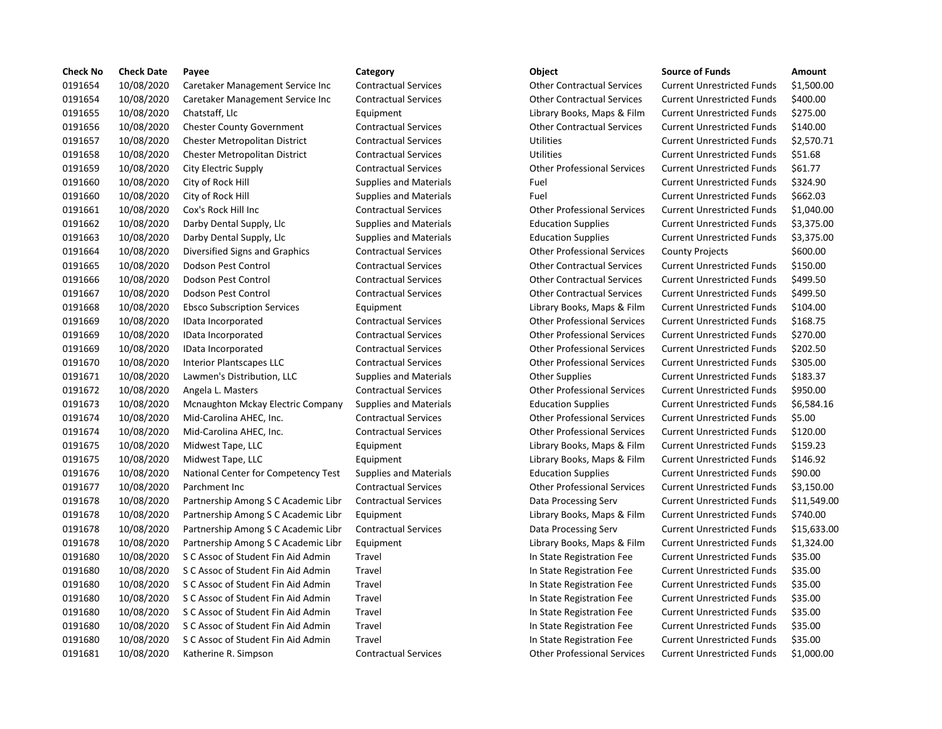| <b>Check No</b> | <b>Check Date</b> | Payee                               | Category                      | Object                             | <b>Source of Funds</b>            | Amount     |
|-----------------|-------------------|-------------------------------------|-------------------------------|------------------------------------|-----------------------------------|------------|
| 0191654         | 10/08/2020        | Caretaker Management Service Inc    | <b>Contractual Services</b>   | <b>Other Contractual Services</b>  | <b>Current Unrestricted Funds</b> | $$1,500$ . |
| 0191654         | 10/08/2020        | Caretaker Management Service Inc    | <b>Contractual Services</b>   | <b>Other Contractual Services</b>  | <b>Current Unrestricted Funds</b> | \$400.00   |
| 0191655         | 10/08/2020        | Chatstaff, Llc                      | Equipment                     | Library Books, Maps & Film         | <b>Current Unrestricted Funds</b> | \$275.00   |
| 0191656         | 10/08/2020        | <b>Chester County Government</b>    | <b>Contractual Services</b>   | <b>Other Contractual Services</b>  | <b>Current Unrestricted Funds</b> | \$140.00   |
| 0191657         | 10/08/2020        | Chester Metropolitan District       | <b>Contractual Services</b>   | Utilities                          | <b>Current Unrestricted Funds</b> | \$2,570.7  |
| 0191658         | 10/08/2020        | Chester Metropolitan District       | <b>Contractual Services</b>   | <b>Utilities</b>                   | <b>Current Unrestricted Funds</b> | \$51.68    |
| 0191659         | 10/08/2020        | City Electric Supply                | <b>Contractual Services</b>   | <b>Other Professional Services</b> | <b>Current Unrestricted Funds</b> | \$61.77    |
| 0191660         | 10/08/2020        | City of Rock Hill                   | <b>Supplies and Materials</b> | Fuel                               | Current Unrestricted Funds        | \$324.90   |
| 0191660         | 10/08/2020        | City of Rock Hill                   | <b>Supplies and Materials</b> | Fuel                               | <b>Current Unrestricted Funds</b> | \$662.03   |
| 0191661         | 10/08/2020        | Cox's Rock Hill Inc                 | <b>Contractual Services</b>   | <b>Other Professional Services</b> | <b>Current Unrestricted Funds</b> | \$1,040.0  |
| 0191662         | 10/08/2020        | Darby Dental Supply, Llc            | <b>Supplies and Materials</b> | <b>Education Supplies</b>          | <b>Current Unrestricted Funds</b> | \$3,375.0  |
| 0191663         | 10/08/2020        | Darby Dental Supply, Llc            | <b>Supplies and Materials</b> | <b>Education Supplies</b>          | <b>Current Unrestricted Funds</b> | \$3,375.0  |
| 0191664         | 10/08/2020        | Diversified Signs and Graphics      | <b>Contractual Services</b>   | <b>Other Professional Services</b> | <b>County Projects</b>            | \$600.00   |
| 0191665         | 10/08/2020        | Dodson Pest Control                 | <b>Contractual Services</b>   | <b>Other Contractual Services</b>  | <b>Current Unrestricted Funds</b> | \$150.00   |
| 0191666         | 10/08/2020        | Dodson Pest Control                 | <b>Contractual Services</b>   | <b>Other Contractual Services</b>  | <b>Current Unrestricted Funds</b> | \$499.50   |
| 0191667         | 10/08/2020        | Dodson Pest Control                 | <b>Contractual Services</b>   | <b>Other Contractual Services</b>  | <b>Current Unrestricted Funds</b> | \$499.50   |
| 0191668         | 10/08/2020        | <b>Ebsco Subscription Services</b>  | Equipment                     | Library Books, Maps & Film         | <b>Current Unrestricted Funds</b> | \$104.00   |
| 0191669         | 10/08/2020        | IData Incorporated                  | <b>Contractual Services</b>   | <b>Other Professional Services</b> | <b>Current Unrestricted Funds</b> | \$168.75   |
| 0191669         | 10/08/2020        | IData Incorporated                  | <b>Contractual Services</b>   | <b>Other Professional Services</b> | <b>Current Unrestricted Funds</b> | \$270.00   |
| 0191669         | 10/08/2020        | IData Incorporated                  | <b>Contractual Services</b>   | <b>Other Professional Services</b> | <b>Current Unrestricted Funds</b> | \$202.50   |
| 0191670         | 10/08/2020        | <b>Interior Plantscapes LLC</b>     | <b>Contractual Services</b>   | <b>Other Professional Services</b> | <b>Current Unrestricted Funds</b> | \$305.00   |
| 0191671         | 10/08/2020        | Lawmen's Distribution, LLC          | <b>Supplies and Materials</b> | <b>Other Supplies</b>              | <b>Current Unrestricted Funds</b> | \$183.37   |
| 0191672         | 10/08/2020        | Angela L. Masters                   | <b>Contractual Services</b>   | <b>Other Professional Services</b> | <b>Current Unrestricted Funds</b> | \$950.00   |
| 0191673         | 10/08/2020        | Mcnaughton Mckay Electric Company   | <b>Supplies and Materials</b> | <b>Education Supplies</b>          | Current Unrestricted Funds        | \$6,584.1  |
| 0191674         | 10/08/2020        | Mid-Carolina AHEC, Inc.             | <b>Contractual Services</b>   | <b>Other Professional Services</b> | <b>Current Unrestricted Funds</b> | \$5.00     |
| 0191674         | 10/08/2020        | Mid-Carolina AHEC, Inc.             | <b>Contractual Services</b>   | <b>Other Professional Services</b> | <b>Current Unrestricted Funds</b> | \$120.00   |
| 0191675         | 10/08/2020        | Midwest Tape, LLC                   | Equipment                     | Library Books, Maps & Film         | <b>Current Unrestricted Funds</b> | \$159.23   |
| 0191675         | 10/08/2020        | Midwest Tape, LLC                   | Equipment                     | Library Books, Maps & Film         | <b>Current Unrestricted Funds</b> | \$146.92   |
| 0191676         | 10/08/2020        | National Center for Competency Test | <b>Supplies and Materials</b> | <b>Education Supplies</b>          | <b>Current Unrestricted Funds</b> | \$90.00    |
| 0191677         | 10/08/2020        | Parchment Inc                       | <b>Contractual Services</b>   | <b>Other Professional Services</b> | <b>Current Unrestricted Funds</b> | \$3,150.0  |
| 0191678         | 10/08/2020        | Partnership Among S C Academic Libr | <b>Contractual Services</b>   | Data Processing Serv               | <b>Current Unrestricted Funds</b> | \$11,549   |
| 0191678         | 10/08/2020        | Partnership Among S C Academic Libr | Equipment                     | Library Books, Maps & Film         | Current Unrestricted Funds        | \$740.00   |
| 0191678         | 10/08/2020        | Partnership Among S C Academic Libr | <b>Contractual Services</b>   | Data Processing Serv               | <b>Current Unrestricted Funds</b> | \$15,633   |
| 0191678         | 10/08/2020        | Partnership Among S C Academic Libr | Equipment                     | Library Books, Maps & Film         | <b>Current Unrestricted Funds</b> | \$1,324.0  |
| 0191680         | 10/08/2020        | S C Assoc of Student Fin Aid Admin  | Travel                        | In State Registration Fee          | <b>Current Unrestricted Funds</b> | \$35.00    |
| 0191680         | 10/08/2020        | S C Assoc of Student Fin Aid Admin  | Travel                        | In State Registration Fee          | <b>Current Unrestricted Funds</b> | \$35.00    |
| 0191680         | 10/08/2020        | S C Assoc of Student Fin Aid Admin  | Travel                        | In State Registration Fee          | <b>Current Unrestricted Funds</b> | \$35.00    |
| 0191680         | 10/08/2020        | S C Assoc of Student Fin Aid Admin  | Travel                        | In State Registration Fee          | <b>Current Unrestricted Funds</b> | \$35.00    |
| 0191680         | 10/08/2020        | S C Assoc of Student Fin Aid Admin  | Travel                        | In State Registration Fee          | <b>Current Unrestricted Funds</b> | \$35.00    |
| 0191680         | 10/08/2020        | S C Assoc of Student Fin Aid Admin  | Travel                        | In State Registration Fee          | <b>Current Unrestricted Funds</b> | \$35.00    |
| 0191680         | 10/08/2020        | S C Assoc of Student Fin Aid Admin  | Travel                        | In State Registration Fee          | <b>Current Unrestricted Funds</b> | \$35.00    |
| 0191681         | 10/08/2020        | Katherine R. Simpson                | <b>Contractual Services</b>   | <b>Other Professional Services</b> | <b>Current Unrestricted Funds</b> | $$1,000$ . |

# al Services **Catherine Contractual Services** Current Unrestricted Funds \$1,000.00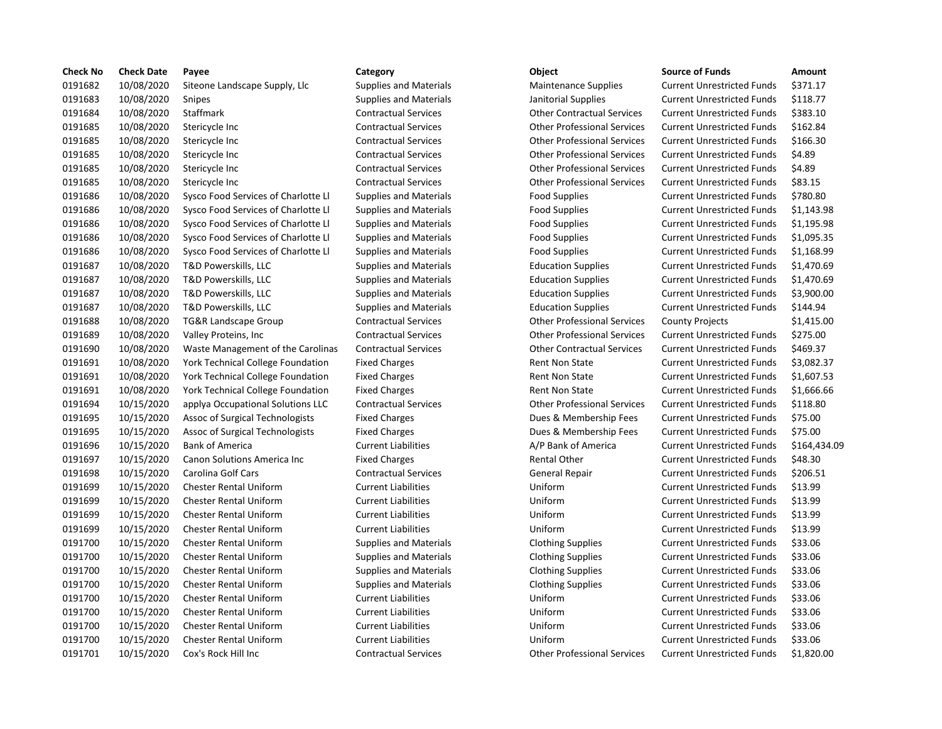| <b>Check No</b> | <b>Check Date</b> | Payee                               | Category                      | Object                             | <b>Source of Funds</b>            | Amount    |
|-----------------|-------------------|-------------------------------------|-------------------------------|------------------------------------|-----------------------------------|-----------|
| 0191682         | 10/08/2020        | Siteone Landscape Supply, Llc       | <b>Supplies and Materials</b> | <b>Maintenance Supplies</b>        | <b>Current Unrestricted Funds</b> | \$371.17  |
| 0191683         | 10/08/2020        | Snipes                              | <b>Supplies and Materials</b> | Janitorial Supplies                | <b>Current Unrestricted Funds</b> | \$118.77  |
| 0191684         | 10/08/2020        | Staffmark                           | <b>Contractual Services</b>   | <b>Other Contractual Services</b>  | <b>Current Unrestricted Funds</b> | \$383.10  |
| 0191685         | 10/08/2020        | Stericycle Inc                      | <b>Contractual Services</b>   | <b>Other Professional Services</b> | <b>Current Unrestricted Funds</b> | \$162.84  |
| 0191685         | 10/08/2020        | Stericycle Inc                      | <b>Contractual Services</b>   | <b>Other Professional Services</b> | <b>Current Unrestricted Funds</b> | \$166.30  |
| 0191685         | 10/08/2020        | Stericycle Inc                      | <b>Contractual Services</b>   | <b>Other Professional Services</b> | <b>Current Unrestricted Funds</b> | \$4.89    |
| 0191685         | 10/08/2020        | Stericycle Inc                      | <b>Contractual Services</b>   | <b>Other Professional Services</b> | <b>Current Unrestricted Funds</b> | \$4.89    |
| 0191685         | 10/08/2020        | Stericycle Inc                      | <b>Contractual Services</b>   | <b>Other Professional Services</b> | <b>Current Unrestricted Funds</b> | \$83.15   |
| 0191686         | 10/08/2020        | Sysco Food Services of Charlotte Ll | <b>Supplies and Materials</b> | <b>Food Supplies</b>               | <b>Current Unrestricted Funds</b> | \$780.80  |
| 0191686         | 10/08/2020        | Sysco Food Services of Charlotte Ll | <b>Supplies and Materials</b> | <b>Food Supplies</b>               | <b>Current Unrestricted Funds</b> | \$1,143.9 |
| 0191686         | 10/08/2020        | Sysco Food Services of Charlotte Ll | <b>Supplies and Materials</b> | <b>Food Supplies</b>               | <b>Current Unrestricted Funds</b> | \$1,195.9 |
| 0191686         | 10/08/2020        | Sysco Food Services of Charlotte Ll | <b>Supplies and Materials</b> | <b>Food Supplies</b>               | <b>Current Unrestricted Funds</b> | \$1,095.3 |
| 0191686         | 10/08/2020        | Sysco Food Services of Charlotte Ll | <b>Supplies and Materials</b> | <b>Food Supplies</b>               | <b>Current Unrestricted Funds</b> | \$1,168.9 |
| 0191687         | 10/08/2020        | T&D Powerskills, LLC                | <b>Supplies and Materials</b> | <b>Education Supplies</b>          | <b>Current Unrestricted Funds</b> | \$1,470.6 |
| 0191687         | 10/08/2020        | T&D Powerskills, LLC                | <b>Supplies and Materials</b> | <b>Education Supplies</b>          | <b>Current Unrestricted Funds</b> | \$1,470.6 |
| 0191687         | 10/08/2020        | T&D Powerskills, LLC                | <b>Supplies and Materials</b> | <b>Education Supplies</b>          | <b>Current Unrestricted Funds</b> | \$3,900.0 |
| 0191687         | 10/08/2020        | T&D Powerskills, LLC                | <b>Supplies and Materials</b> | <b>Education Supplies</b>          | <b>Current Unrestricted Funds</b> | \$144.94  |
| 0191688         | 10/08/2020        | <b>TG&amp;R Landscape Group</b>     | <b>Contractual Services</b>   | <b>Other Professional Services</b> | <b>County Projects</b>            | \$1,415.0 |
| 0191689         | 10/08/2020        | Valley Proteins, Inc                | <b>Contractual Services</b>   | <b>Other Professional Services</b> | <b>Current Unrestricted Funds</b> | \$275.00  |
| 0191690         | 10/08/2020        | Waste Management of the Carolinas   | <b>Contractual Services</b>   | <b>Other Contractual Services</b>  | <b>Current Unrestricted Funds</b> | \$469.37  |
| 0191691         | 10/08/2020        | York Technical College Foundation   | <b>Fixed Charges</b>          | <b>Rent Non State</b>              | <b>Current Unrestricted Funds</b> | \$3,082.3 |
| 0191691         | 10/08/2020        | York Technical College Foundation   | <b>Fixed Charges</b>          | <b>Rent Non State</b>              | <b>Current Unrestricted Funds</b> | \$1,607.  |
| 0191691         | 10/08/2020        | York Technical College Foundation   | <b>Fixed Charges</b>          | <b>Rent Non State</b>              | <b>Current Unrestricted Funds</b> | \$1,666.6 |
| 0191694         | 10/15/2020        | applya Occupational Solutions LLC   | <b>Contractual Services</b>   | <b>Other Professional Services</b> | <b>Current Unrestricted Funds</b> | \$118.80  |
| 0191695         | 10/15/2020        | Assoc of Surgical Technologists     | <b>Fixed Charges</b>          | Dues & Membership Fees             | <b>Current Unrestricted Funds</b> | \$75.00   |
| 0191695         | 10/15/2020        | Assoc of Surgical Technologists     | <b>Fixed Charges</b>          | Dues & Membership Fees             | <b>Current Unrestricted Funds</b> | \$75.00   |
| 0191696         | 10/15/2020        | <b>Bank of America</b>              | <b>Current Liabilities</b>    | A/P Bank of America                | <b>Current Unrestricted Funds</b> | \$164,43  |
| 0191697         | 10/15/2020        | Canon Solutions America Inc         | <b>Fixed Charges</b>          | <b>Rental Other</b>                | <b>Current Unrestricted Funds</b> | \$48.30   |
| 0191698         | 10/15/2020        | Carolina Golf Cars                  | <b>Contractual Services</b>   | General Repair                     | <b>Current Unrestricted Funds</b> | \$206.51  |
| 0191699         | 10/15/2020        | <b>Chester Rental Uniform</b>       | <b>Current Liabilities</b>    | Uniform                            | <b>Current Unrestricted Funds</b> | \$13.99   |
| 0191699         | 10/15/2020        | <b>Chester Rental Uniform</b>       | <b>Current Liabilities</b>    | Uniform                            | <b>Current Unrestricted Funds</b> | \$13.99   |
| 0191699         | 10/15/2020        | <b>Chester Rental Uniform</b>       | <b>Current Liabilities</b>    | Uniform                            | <b>Current Unrestricted Funds</b> | \$13.99   |
| 0191699         | 10/15/2020        | <b>Chester Rental Uniform</b>       | <b>Current Liabilities</b>    | Uniform                            | <b>Current Unrestricted Funds</b> | \$13.99   |
| 0191700         | 10/15/2020        | <b>Chester Rental Uniform</b>       | <b>Supplies and Materials</b> | <b>Clothing Supplies</b>           | <b>Current Unrestricted Funds</b> | \$33.06   |
| 0191700         | 10/15/2020        | <b>Chester Rental Uniform</b>       | <b>Supplies and Materials</b> | <b>Clothing Supplies</b>           | <b>Current Unrestricted Funds</b> | \$33.06   |
| 0191700         | 10/15/2020        | Chester Rental Uniform              | <b>Supplies and Materials</b> | <b>Clothing Supplies</b>           | <b>Current Unrestricted Funds</b> | \$33.06   |
| 0191700         | 10/15/2020        | <b>Chester Rental Uniform</b>       | <b>Supplies and Materials</b> | <b>Clothing Supplies</b>           | <b>Current Unrestricted Funds</b> | \$33.06   |
| 0191700         | 10/15/2020        | <b>Chester Rental Uniform</b>       | <b>Current Liabilities</b>    | Uniform                            | <b>Current Unrestricted Funds</b> | \$33.06   |
| 0191700         | 10/15/2020        | <b>Chester Rental Uniform</b>       | <b>Current Liabilities</b>    | Uniform                            | <b>Current Unrestricted Funds</b> | \$33.06   |
| 0191700         | 10/15/2020        | <b>Chester Rental Uniform</b>       | <b>Current Liabilities</b>    | Uniform                            | <b>Current Unrestricted Funds</b> | \$33.06   |
| 0191700         | 10/15/2020        | <b>Chester Rental Uniform</b>       | <b>Current Liabilities</b>    | Uniform                            | <b>Current Unrestricted Funds</b> | \$33.06   |
| 0191701         | 10/15/2020        | Cox's Rock Hill Inc                 | <b>Contractual Services</b>   | <b>Other Professional Services</b> | <b>Current Unrestricted Funds</b> | \$1,820.0 |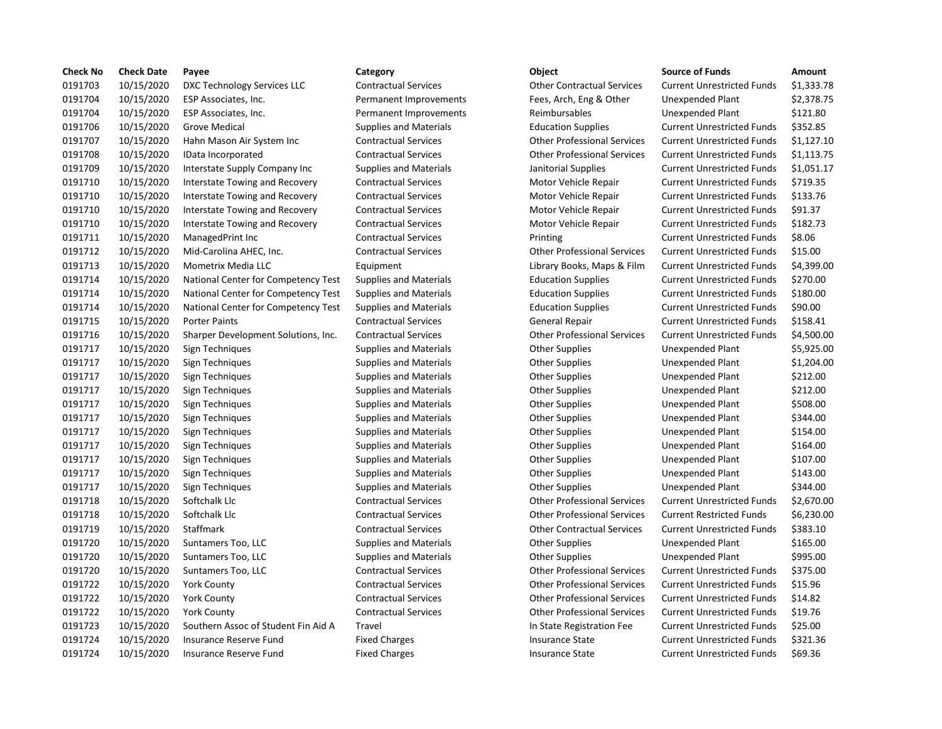| <b>Check No</b> | <b>Check Date</b> | Payee                               | Category                      | Object                             | <b>Source of Funds</b>            | Amount     |
|-----------------|-------------------|-------------------------------------|-------------------------------|------------------------------------|-----------------------------------|------------|
| 0191703         | 10/15/2020        | DXC Technology Services LLC         | <b>Contractual Services</b>   | <b>Other Contractual Services</b>  | <b>Current Unrestricted Funds</b> | \$1,333.78 |
| 0191704         | 10/15/2020        | ESP Associates, Inc.                | Permanent Improvements        | Fees, Arch, Eng & Other            | <b>Unexpended Plant</b>           | \$2,378.75 |
| 0191704         | 10/15/2020        | ESP Associates, Inc.                | Permanent Improvements        | Reimbursables                      | Unexpended Plant                  | \$121.80   |
| 0191706         | 10/15/2020        | <b>Grove Medical</b>                | <b>Supplies and Materials</b> | <b>Education Supplies</b>          | <b>Current Unrestricted Funds</b> | \$352.85   |
| 0191707         | 10/15/2020        | Hahn Mason Air System Inc           | <b>Contractual Services</b>   | <b>Other Professional Services</b> | <b>Current Unrestricted Funds</b> | \$1,127.10 |
| 0191708         | 10/15/2020        | IData Incorporated                  | <b>Contractual Services</b>   | <b>Other Professional Services</b> | <b>Current Unrestricted Funds</b> | \$1,113.75 |
| 0191709         | 10/15/2020        | Interstate Supply Company Inc       | <b>Supplies and Materials</b> | Janitorial Supplies                | <b>Current Unrestricted Funds</b> | \$1,051.17 |
| 0191710         | 10/15/2020        | Interstate Towing and Recovery      | <b>Contractual Services</b>   | Motor Vehicle Repair               | <b>Current Unrestricted Funds</b> | \$719.35   |
| 0191710         | 10/15/2020        | Interstate Towing and Recovery      | <b>Contractual Services</b>   | Motor Vehicle Repair               | <b>Current Unrestricted Funds</b> | \$133.76   |
| 0191710         | 10/15/2020        | Interstate Towing and Recovery      | <b>Contractual Services</b>   | Motor Vehicle Repair               | <b>Current Unrestricted Funds</b> | \$91.37    |
| 0191710         | 10/15/2020        | Interstate Towing and Recovery      | <b>Contractual Services</b>   | Motor Vehicle Repair               | <b>Current Unrestricted Funds</b> | \$182.73   |
| 0191711         | 10/15/2020        | ManagedPrint Inc                    | <b>Contractual Services</b>   | Printing                           | <b>Current Unrestricted Funds</b> | \$8.06     |
| 0191712         | 10/15/2020        | Mid-Carolina AHEC, Inc.             | <b>Contractual Services</b>   | <b>Other Professional Services</b> | <b>Current Unrestricted Funds</b> | \$15.00    |
| 0191713         | 10/15/2020        | Mometrix Media LLC                  | Equipment                     | Library Books, Maps & Film         | <b>Current Unrestricted Funds</b> | \$4,399.00 |
| 0191714         | 10/15/2020        | National Center for Competency Test | <b>Supplies and Materials</b> | <b>Education Supplies</b>          | <b>Current Unrestricted Funds</b> | \$270.00   |
| 0191714         | 10/15/2020        | National Center for Competency Test | <b>Supplies and Materials</b> | <b>Education Supplies</b>          | <b>Current Unrestricted Funds</b> | \$180.00   |
| 0191714         | 10/15/2020        | National Center for Competency Test | <b>Supplies and Materials</b> | <b>Education Supplies</b>          | <b>Current Unrestricted Funds</b> | \$90.00    |
| 0191715         | 10/15/2020        | <b>Porter Paints</b>                | <b>Contractual Services</b>   | General Repair                     | <b>Current Unrestricted Funds</b> | \$158.41   |
| 0191716         | 10/15/2020        | Sharper Development Solutions, Inc. | <b>Contractual Services</b>   | <b>Other Professional Services</b> | <b>Current Unrestricted Funds</b> | \$4,500.00 |
| 0191717         | 10/15/2020        | Sign Techniques                     | <b>Supplies and Materials</b> | <b>Other Supplies</b>              | <b>Unexpended Plant</b>           | \$5,925.00 |
| 0191717         | 10/15/2020        | Sign Techniques                     | <b>Supplies and Materials</b> | <b>Other Supplies</b>              | Unexpended Plant                  | \$1,204.00 |
| 0191717         | 10/15/2020        | Sign Techniques                     | <b>Supplies and Materials</b> | <b>Other Supplies</b>              | Unexpended Plant                  | \$212.00   |
| 0191717         | 10/15/2020        | Sign Techniques                     | <b>Supplies and Materials</b> | <b>Other Supplies</b>              | Unexpended Plant                  | \$212.00   |
| 0191717         | 10/15/2020        | Sign Techniques                     | <b>Supplies and Materials</b> | <b>Other Supplies</b>              | Unexpended Plant                  | \$508.00   |
| 0191717         | 10/15/2020        | Sign Techniques                     | Supplies and Materials        | <b>Other Supplies</b>              | Unexpended Plant                  | \$344.00   |
| 0191717         | 10/15/2020        | Sign Techniques                     | <b>Supplies and Materials</b> | <b>Other Supplies</b>              | Unexpended Plant                  | \$154.00   |
| 0191717         | 10/15/2020        | Sign Techniques                     | <b>Supplies and Materials</b> | <b>Other Supplies</b>              | Unexpended Plant                  | \$164.00   |
| 0191717         | 10/15/2020        | Sign Techniques                     | <b>Supplies and Materials</b> | <b>Other Supplies</b>              | Unexpended Plant                  | \$107.00   |
| 0191717         | 10/15/2020        | Sign Techniques                     | <b>Supplies and Materials</b> | <b>Other Supplies</b>              | Unexpended Plant                  | \$143.00   |
| 0191717         | 10/15/2020        | Sign Techniques                     | <b>Supplies and Materials</b> | <b>Other Supplies</b>              | Unexpended Plant                  | \$344.00   |
| 0191718         | 10/15/2020        | Softchalk Llc                       | <b>Contractual Services</b>   | <b>Other Professional Services</b> | <b>Current Unrestricted Funds</b> | \$2,670.00 |
| 0191718         | 10/15/2020        | Softchalk Llc                       | <b>Contractual Services</b>   | <b>Other Professional Services</b> | <b>Current Restricted Funds</b>   | \$6,230.00 |
| 0191719         | 10/15/2020        | Staffmark                           | <b>Contractual Services</b>   | <b>Other Contractual Services</b>  | <b>Current Unrestricted Funds</b> | \$383.10   |
| 0191720         | 10/15/2020        | Suntamers Too, LLC                  | <b>Supplies and Materials</b> | <b>Other Supplies</b>              | <b>Unexpended Plant</b>           | \$165.00   |
| 0191720         | 10/15/2020        | Suntamers Too, LLC                  | <b>Supplies and Materials</b> | <b>Other Supplies</b>              | <b>Unexpended Plant</b>           | \$995.00   |
| 0191720         | 10/15/2020        | Suntamers Too, LLC                  | <b>Contractual Services</b>   | <b>Other Professional Services</b> | <b>Current Unrestricted Funds</b> | \$375.00   |
| 0191722         | 10/15/2020        | <b>York County</b>                  | <b>Contractual Services</b>   | <b>Other Professional Services</b> | <b>Current Unrestricted Funds</b> | \$15.96    |
| 0191722         | 10/15/2020        | <b>York County</b>                  | <b>Contractual Services</b>   | <b>Other Professional Services</b> | <b>Current Unrestricted Funds</b> | \$14.82    |
| 0191722         | 10/15/2020        | <b>York County</b>                  | <b>Contractual Services</b>   | <b>Other Professional Services</b> | <b>Current Unrestricted Funds</b> | \$19.76    |
| 0191723         | 10/15/2020        | Southern Assoc of Student Fin Aid A | Travel                        | In State Registration Fee          | <b>Current Unrestricted Funds</b> | \$25.00    |
| 0191724         | 10/15/2020        | <b>Insurance Reserve Fund</b>       | <b>Fixed Charges</b>          | <b>Insurance State</b>             | <b>Current Unrestricted Funds</b> | \$321.36   |
| 0191724         | 10/15/2020        | Insurance Reserve Fund              | <b>Fixed Charges</b>          | <b>Insurance State</b>             | <b>Current Unrestricted Funds</b> | \$69.36    |

# dal Services **10191703** Other Contractual Services Current Unrestricted Funds \$1,333.78 nt Improvements Fees, Arch, Eng & Other Unexpended Plant \$2,378.75 0191706 10/15/2020 Grove Medical Supplies and Materials Education Supplies Current Unrestricted Funds \$352.85 dal Services **1.2020 Contractual Contractual Services** Current Unrestricted Funds \$1,127.10 dal Services **1.113.75** Other Professional Services Current Unrestricted Funds \$1,113.75 and Materials **Interstate Supplies Current Unrestricted Funds** \$1,051.17 dal Services **Interstate Towing Accovery Contractual Services** Motor Vehicle Repair Current Unrestricted Funds \$719.35 dal Services **Interstate Towing And Recovery Contracts** Current Unrestricted Funds \$133.76 dal Services **Interstate Towing And Recovery Contracts** Current Unrestricted Funds \$91.37 dal Services **Interstate Towing And Recovery Contractual Services** Motor Vehicle Repair Current Unrestricted Funds nal Services **1019171** 1000 Managed Managed Current Unrestricted Funds in \$8.06 0191712 10/15/2020 Mid-Carolina AHEC, Inc. Contractual Services Other Professional Services Current Unrestricted Funds \$15.00 0191713 1073 10713 10720 Mometrix Media Library Books, Maps & Film Current Unrestricted Funds and Materials **Competency Competency Test Supplies** and Material Supplies Current Unrestricted Funds \$270.00 and Materials **Competency Competency Competency Competency Competency Current Unrestricted Funds 5180.00** and Materials **Cantional Center Competence Competency Competency Current Unrestricted Funds \$90.00** 0191715 10/15/2020 Porter Paints Contractual Services General Repair Current Unrestricted Funds \$158.41 dal Services **Solutions, Inc. Contracts Contracts** Current Unrestricted Funds \$4,500.00 0191718 10/15/2020 Softchalk Llc Contractual Services Other Professional Services Current Unrestricted Funds \$2,670.00 dal Services **Softchalk Contract Contract Contracts** Current Restricted Funds \$6,230.00 0191719 10/15/2020 Staffmark Contractual Services Other Contractual Services Current Unrestricted Funds \$383.10 0191720 10/15/2020 Suntamers Too, LLC Contractual Services Other Professional Services Current Unrestricted Funds \$375.00 0191722 10/15/2020 York County Contractual Services Other Professional Services Current Unrestricted Funds \$15.96 0191722 10/15/2020 York County Contractual Services Other Professional Services Current Unrestricted Funds \$14.82 0191722 10/15/2020 York County Contractual Services Other Professional Services Current Unrestricted Funds \$19.76 In State Registration Fee Current Unrestricted Funds \$25.00 orges and Fund Theorems Insurance State Current Unrestricted Funds \$321.36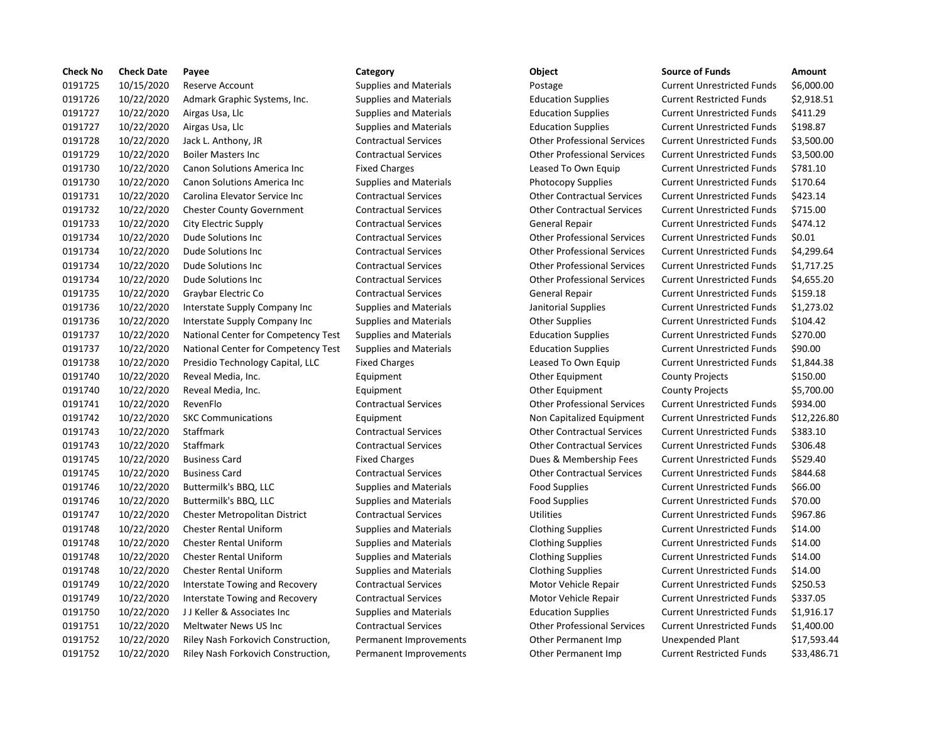| <b>Check No</b> | <b>Check Date</b> | Payee                               | Category                      | Object                             | <b>Source of Funds</b>            | Amount     |
|-----------------|-------------------|-------------------------------------|-------------------------------|------------------------------------|-----------------------------------|------------|
| 0191725         | 10/15/2020        | Reserve Account                     | <b>Supplies and Materials</b> | Postage                            | <b>Current Unrestricted Funds</b> | \$6,000.00 |
| 0191726         | 10/22/2020        | Admark Graphic Systems, Inc.        | <b>Supplies and Materials</b> | <b>Education Supplies</b>          | <b>Current Restricted Funds</b>   | \$2,918.51 |
| 0191727         | 10/22/2020        | Airgas Usa, Llc                     | <b>Supplies and Materials</b> | <b>Education Supplies</b>          | <b>Current Unrestricted Funds</b> | \$411.29   |
| 0191727         | 10/22/2020        | Airgas Usa, Llc                     | <b>Supplies and Materials</b> | <b>Education Supplies</b>          | <b>Current Unrestricted Funds</b> | \$198.87   |
| 0191728         | 10/22/2020        | Jack L. Anthony, JR                 | <b>Contractual Services</b>   | <b>Other Professional Services</b> | <b>Current Unrestricted Funds</b> | \$3,500.00 |
| 0191729         | 10/22/2020        | <b>Boiler Masters Inc</b>           | <b>Contractual Services</b>   | <b>Other Professional Services</b> | <b>Current Unrestricted Funds</b> | \$3,500.00 |
| 0191730         | 10/22/2020        | Canon Solutions America Inc         | <b>Fixed Charges</b>          | Leased To Own Equip                | <b>Current Unrestricted Funds</b> | \$781.10   |
| 0191730         | 10/22/2020        | Canon Solutions America Inc         | <b>Supplies and Materials</b> | <b>Photocopy Supplies</b>          | <b>Current Unrestricted Funds</b> | \$170.64   |
| 0191731         | 10/22/2020        | Carolina Elevator Service Inc       | <b>Contractual Services</b>   | <b>Other Contractual Services</b>  | <b>Current Unrestricted Funds</b> | \$423.14   |
| 0191732         | 10/22/2020        | <b>Chester County Government</b>    | <b>Contractual Services</b>   | <b>Other Contractual Services</b>  | <b>Current Unrestricted Funds</b> | \$715.00   |
| 0191733         | 10/22/2020        | City Electric Supply                | <b>Contractual Services</b>   | General Repair                     | <b>Current Unrestricted Funds</b> | \$474.12   |
| 0191734         | 10/22/2020        | <b>Dude Solutions Inc</b>           | <b>Contractual Services</b>   | <b>Other Professional Services</b> | <b>Current Unrestricted Funds</b> | \$0.01     |
| 0191734         | 10/22/2020        | Dude Solutions Inc                  | <b>Contractual Services</b>   | <b>Other Professional Services</b> | <b>Current Unrestricted Funds</b> | \$4,299.64 |
| 0191734         | 10/22/2020        | Dude Solutions Inc                  | <b>Contractual Services</b>   | <b>Other Professional Services</b> | <b>Current Unrestricted Funds</b> | \$1,717.25 |
| 0191734         | 10/22/2020        | Dude Solutions Inc                  | <b>Contractual Services</b>   | <b>Other Professional Services</b> | <b>Current Unrestricted Funds</b> | \$4,655.20 |
| 0191735         | 10/22/2020        | Graybar Electric Co                 | <b>Contractual Services</b>   | General Repair                     | <b>Current Unrestricted Funds</b> | \$159.18   |
| 0191736         | 10/22/2020        | Interstate Supply Company Inc.      | <b>Supplies and Materials</b> | Janitorial Supplies                | <b>Current Unrestricted Funds</b> | \$1,273.02 |
| 0191736         | 10/22/2020        | Interstate Supply Company Inc.      | <b>Supplies and Materials</b> | <b>Other Supplies</b>              | <b>Current Unrestricted Funds</b> | \$104.42   |
| 0191737         | 10/22/2020        | National Center for Competency Test | <b>Supplies and Materials</b> | <b>Education Supplies</b>          | <b>Current Unrestricted Funds</b> | \$270.00   |
| 0191737         | 10/22/2020        | National Center for Competency Test | <b>Supplies and Materials</b> | <b>Education Supplies</b>          | <b>Current Unrestricted Funds</b> | \$90.00    |
| 0191738         | 10/22/2020        | Presidio Technology Capital, LLC    | <b>Fixed Charges</b>          | Leased To Own Equip                | <b>Current Unrestricted Funds</b> | \$1,844.38 |
| 0191740         | 10/22/2020        | Reveal Media, Inc.                  | Equipment                     | Other Equipment                    | <b>County Projects</b>            | \$150.00   |
| 0191740         | 10/22/2020        | Reveal Media, Inc.                  | Equipment                     | Other Equipment                    | <b>County Projects</b>            | \$5,700.00 |
| 0191741         | 10/22/2020        | RevenFlo                            | <b>Contractual Services</b>   | <b>Other Professional Services</b> | <b>Current Unrestricted Funds</b> | \$934.00   |
| 0191742         | 10/22/2020        | <b>SKC Communications</b>           | Equipment                     | Non Capitalized Equipment          | <b>Current Unrestricted Funds</b> | \$12,226.8 |
| 0191743         | 10/22/2020        | <b>Staffmark</b>                    | <b>Contractual Services</b>   | <b>Other Contractual Services</b>  | <b>Current Unrestricted Funds</b> | \$383.10   |
| 0191743         | 10/22/2020        | <b>Staffmark</b>                    | <b>Contractual Services</b>   | <b>Other Contractual Services</b>  | <b>Current Unrestricted Funds</b> | \$306.48   |
| 0191745         | 10/22/2020        | <b>Business Card</b>                | <b>Fixed Charges</b>          | Dues & Membership Fees             | <b>Current Unrestricted Funds</b> | \$529.40   |
| 0191745         | 10/22/2020        | <b>Business Card</b>                | <b>Contractual Services</b>   | <b>Other Contractual Services</b>  | <b>Current Unrestricted Funds</b> | \$844.68   |
| 0191746         | 10/22/2020        | Buttermilk's BBQ, LLC               | <b>Supplies and Materials</b> | <b>Food Supplies</b>               | <b>Current Unrestricted Funds</b> | \$66.00    |
| 0191746         | 10/22/2020        | Buttermilk's BBQ, LLC               | <b>Supplies and Materials</b> | <b>Food Supplies</b>               | <b>Current Unrestricted Funds</b> | \$70.00    |
| 0191747         | 10/22/2020        | Chester Metropolitan District       | <b>Contractual Services</b>   | Utilities                          | <b>Current Unrestricted Funds</b> | \$967.86   |
| 0191748         | 10/22/2020        | <b>Chester Rental Uniform</b>       | <b>Supplies and Materials</b> | <b>Clothing Supplies</b>           | <b>Current Unrestricted Funds</b> | \$14.00    |
| 0191748         | 10/22/2020        | <b>Chester Rental Uniform</b>       | <b>Supplies and Materials</b> | <b>Clothing Supplies</b>           | <b>Current Unrestricted Funds</b> | \$14.00    |
| 0191748         | 10/22/2020        | <b>Chester Rental Uniform</b>       | <b>Supplies and Materials</b> | <b>Clothing Supplies</b>           | <b>Current Unrestricted Funds</b> | \$14.00    |
| 0191748         | 10/22/2020        | <b>Chester Rental Uniform</b>       | <b>Supplies and Materials</b> | <b>Clothing Supplies</b>           | <b>Current Unrestricted Funds</b> | \$14.00    |
| 0191749         | 10/22/2020        | Interstate Towing and Recovery      | <b>Contractual Services</b>   | Motor Vehicle Repair               | <b>Current Unrestricted Funds</b> | \$250.53   |
| 0191749         | 10/22/2020        | Interstate Towing and Recovery      | <b>Contractual Services</b>   | Motor Vehicle Repair               | <b>Current Unrestricted Funds</b> | \$337.05   |
| 0191750         | 10/22/2020        | JJ Keller & Associates Inc          | <b>Supplies and Materials</b> | <b>Education Supplies</b>          | <b>Current Unrestricted Funds</b> | \$1,916.17 |
| 0191751         | 10/22/2020        | Meltwater News US Inc               | <b>Contractual Services</b>   | <b>Other Professional Services</b> | <b>Current Unrestricted Funds</b> | \$1,400.00 |
| 0191752         | 10/22/2020        | Riley Nash Forkovich Construction,  | <b>Permanent Improvements</b> | Other Permanent Imp                | <b>Unexpended Plant</b>           | \$17,593.4 |
| 0191752         | 10/22/2020        | Riley Nash Forkovich Construction,  | Permanent Improvements        | Other Permanent Imp                | <b>Current Restricted Funds</b>   | \$33,486.7 |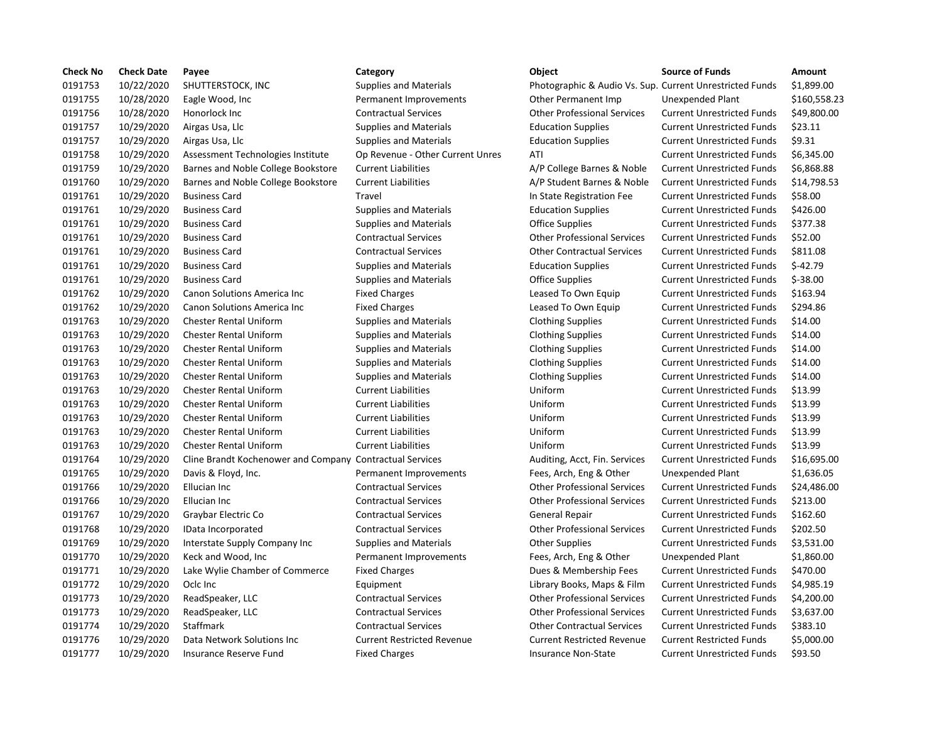| <b>Check No</b> | <b>Check Date</b> | Payee                                                    | Category                          | <b>Object</b>                                            | <b>Source of Funds</b>            | <b>Amount</b> |
|-----------------|-------------------|----------------------------------------------------------|-----------------------------------|----------------------------------------------------------|-----------------------------------|---------------|
| 0191753         | 10/22/2020        | SHUTTERSTOCK, INC                                        | <b>Supplies and Materials</b>     | Photographic & Audio Vs. Sup. Current Unrestricted Funds |                                   | \$1,899.00    |
| 0191755         | 10/28/2020        | Eagle Wood, Inc.                                         | Permanent Improvements            | Other Permanent Imp                                      | Unexpended Plant                  | \$160,558.23  |
| 0191756         | 10/28/2020        | Honorlock Inc                                            | <b>Contractual Services</b>       | <b>Other Professional Services</b>                       | <b>Current Unrestricted Funds</b> | \$49,800.00   |
| 0191757         | 10/29/2020        | Airgas Usa, Llc                                          | <b>Supplies and Materials</b>     | <b>Education Supplies</b>                                | <b>Current Unrestricted Funds</b> | \$23.11       |
| 0191757         | 10/29/2020        | Airgas Usa, Llc                                          | <b>Supplies and Materials</b>     | <b>Education Supplies</b>                                | <b>Current Unrestricted Funds</b> | \$9.31        |
| 0191758         | 10/29/2020        | Assessment Technologies Institute                        | Op Revenue - Other Current Unres  | ATI                                                      | <b>Current Unrestricted Funds</b> | \$6,345.00    |
| 0191759         | 10/29/2020        | Barnes and Noble College Bookstore                       | <b>Current Liabilities</b>        | A/P College Barnes & Noble                               | <b>Current Unrestricted Funds</b> | \$6,868.88    |
| 0191760         | 10/29/2020        | Barnes and Noble College Bookstore                       | <b>Current Liabilities</b>        | A/P Student Barnes & Noble                               | <b>Current Unrestricted Funds</b> | \$14,798.53   |
| 0191761         | 10/29/2020        | <b>Business Card</b>                                     | Travel                            | In State Registration Fee                                | <b>Current Unrestricted Funds</b> | \$58.00       |
| 0191761         | 10/29/2020        | <b>Business Card</b>                                     | <b>Supplies and Materials</b>     | <b>Education Supplies</b>                                | <b>Current Unrestricted Funds</b> | \$426.00      |
| 0191761         | 10/29/2020        | <b>Business Card</b>                                     | <b>Supplies and Materials</b>     | <b>Office Supplies</b>                                   | <b>Current Unrestricted Funds</b> | \$377.38      |
| 0191761         | 10/29/2020        | <b>Business Card</b>                                     | <b>Contractual Services</b>       | <b>Other Professional Services</b>                       | <b>Current Unrestricted Funds</b> | \$52.00       |
| 0191761         | 10/29/2020        | <b>Business Card</b>                                     | <b>Contractual Services</b>       | <b>Other Contractual Services</b>                        | <b>Current Unrestricted Funds</b> | \$811.08      |
| 0191761         | 10/29/2020        | <b>Business Card</b>                                     | <b>Supplies and Materials</b>     | <b>Education Supplies</b>                                | <b>Current Unrestricted Funds</b> | $$-42.79$     |
| 0191761         | 10/29/2020        | <b>Business Card</b>                                     | <b>Supplies and Materials</b>     | <b>Office Supplies</b>                                   | <b>Current Unrestricted Funds</b> | $$-38.00$     |
| 0191762         | 10/29/2020        | Canon Solutions America Inc                              | <b>Fixed Charges</b>              | Leased To Own Equip                                      | <b>Current Unrestricted Funds</b> | \$163.94      |
| 0191762         | 10/29/2020        | Canon Solutions America Inc                              | <b>Fixed Charges</b>              | Leased To Own Equip                                      | <b>Current Unrestricted Funds</b> | \$294.86      |
| 0191763         | 10/29/2020        | <b>Chester Rental Uniform</b>                            | <b>Supplies and Materials</b>     | <b>Clothing Supplies</b>                                 | <b>Current Unrestricted Funds</b> | \$14.00       |
| 0191763         | 10/29/2020        | <b>Chester Rental Uniform</b>                            | <b>Supplies and Materials</b>     | <b>Clothing Supplies</b>                                 | <b>Current Unrestricted Funds</b> | \$14.00       |
| 0191763         | 10/29/2020        | <b>Chester Rental Uniform</b>                            | <b>Supplies and Materials</b>     | <b>Clothing Supplies</b>                                 | <b>Current Unrestricted Funds</b> | \$14.00       |
| 0191763         | 10/29/2020        | <b>Chester Rental Uniform</b>                            | <b>Supplies and Materials</b>     | <b>Clothing Supplies</b>                                 | <b>Current Unrestricted Funds</b> | \$14.00       |
| 0191763         | 10/29/2020        | <b>Chester Rental Uniform</b>                            | <b>Supplies and Materials</b>     | <b>Clothing Supplies</b>                                 | <b>Current Unrestricted Funds</b> | \$14.00       |
| 0191763         | 10/29/2020        | <b>Chester Rental Uniform</b>                            | <b>Current Liabilities</b>        | Uniform                                                  | <b>Current Unrestricted Funds</b> | \$13.99       |
| 0191763         | 10/29/2020        | <b>Chester Rental Uniform</b>                            | <b>Current Liabilities</b>        | Uniform                                                  | <b>Current Unrestricted Funds</b> | \$13.99       |
| 0191763         | 10/29/2020        | <b>Chester Rental Uniform</b>                            | <b>Current Liabilities</b>        | Uniform                                                  | <b>Current Unrestricted Funds</b> | \$13.99       |
| 0191763         | 10/29/2020        | <b>Chester Rental Uniform</b>                            | <b>Current Liabilities</b>        | Uniform                                                  | <b>Current Unrestricted Funds</b> | \$13.99       |
| 0191763         | 10/29/2020        | <b>Chester Rental Uniform</b>                            | <b>Current Liabilities</b>        | Uniform                                                  | <b>Current Unrestricted Funds</b> | \$13.99       |
| 0191764         | 10/29/2020        | Cline Brandt Kochenower and Company Contractual Services |                                   | Auditing, Acct, Fin. Services                            | <b>Current Unrestricted Funds</b> | \$16,695.00   |
| 0191765         | 10/29/2020        | Davis & Floyd, Inc.                                      | Permanent Improvements            | Fees, Arch, Eng & Other                                  | <b>Unexpended Plant</b>           | \$1,636.05    |
| 0191766         | 10/29/2020        | <b>Ellucian Inc</b>                                      | <b>Contractual Services</b>       | <b>Other Professional Services</b>                       | <b>Current Unrestricted Funds</b> | \$24,486.00   |
| 0191766         | 10/29/2020        | Ellucian Inc                                             | <b>Contractual Services</b>       | <b>Other Professional Services</b>                       | <b>Current Unrestricted Funds</b> | \$213.00      |
| 0191767         | 10/29/2020        | Graybar Electric Co                                      | <b>Contractual Services</b>       | General Repair                                           | <b>Current Unrestricted Funds</b> | \$162.60      |
| 0191768         | 10/29/2020        | IData Incorporated                                       | <b>Contractual Services</b>       | <b>Other Professional Services</b>                       | <b>Current Unrestricted Funds</b> | \$202.50      |
| 0191769         | 10/29/2020        | Interstate Supply Company Inc                            | <b>Supplies and Materials</b>     | <b>Other Supplies</b>                                    | <b>Current Unrestricted Funds</b> | \$3,531.00    |
| 0191770         | 10/29/2020        | Keck and Wood, Inc                                       | Permanent Improvements            | Fees, Arch, Eng & Other                                  | Unexpended Plant                  | \$1,860.00    |
| 0191771         | 10/29/2020        | Lake Wylie Chamber of Commerce                           | <b>Fixed Charges</b>              | Dues & Membership Fees                                   | <b>Current Unrestricted Funds</b> | \$470.00      |
| 0191772         | 10/29/2020        | Oclc Inc                                                 | Equipment                         | Library Books, Maps & Film                               | <b>Current Unrestricted Funds</b> | \$4,985.19    |
| 0191773         | 10/29/2020        | ReadSpeaker, LLC                                         | <b>Contractual Services</b>       | <b>Other Professional Services</b>                       | <b>Current Unrestricted Funds</b> | \$4,200.00    |
| 0191773         | 10/29/2020        | ReadSpeaker, LLC                                         | <b>Contractual Services</b>       | <b>Other Professional Services</b>                       | <b>Current Unrestricted Funds</b> | \$3,637.00    |
| 0191774         | 10/29/2020        | Staffmark                                                | <b>Contractual Services</b>       | <b>Other Contractual Services</b>                        | <b>Current Unrestricted Funds</b> | \$383.10      |
| 0191776         | 10/29/2020        | Data Network Solutions Inc                               | <b>Current Restricted Revenue</b> | <b>Current Restricted Revenue</b>                        | <b>Current Restricted Funds</b>   | \$5,000.00    |
| 0191777         | 10/29/2020        | Insurance Reserve Fund                                   | <b>Fixed Charges</b>              | Insurance Non-State                                      | <b>Current Unrestricted Funds</b> | \$93.50       |
|                 |                   |                                                          |                                   |                                                          |                                   |               |